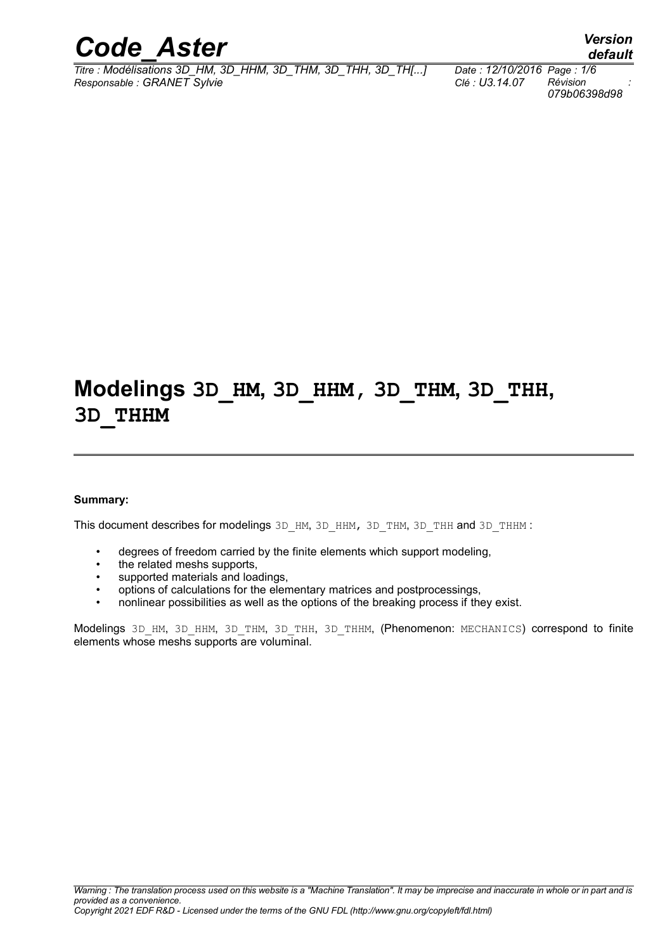

*Titre : Modélisations 3D\_HM, 3D\_HHM, 3D\_THM, 3D\_THH, 3D\_TH[...] Date : 12/10/2016 Page : 1/6 Responsable : GRANET Sylvie Clé : U3.14.07 Révision :*

*079b06398d98*

## **Modelings 3D\_HM, 3D\_HHM, 3D\_THM, 3D\_THH, 3D\_THHM**

#### **Summary:**

This document describes for modelings 3D HM, 3D\_HHM, 3D\_THM, 3D\_THH and 3D\_THHM :

- degrees of freedom carried by the finite elements which support modeling,
- the related meshs supports,
- supported materials and loadings,
- options of calculations for the elementary matrices and postprocessings,
- nonlinear possibilities as well as the options of the breaking process if they exist.

Modelings 3D HM, 3D HHM, 3D THM, 3D THH, 3D THHM, (Phenomenon: MECHANICS) correspond to finite elements whose meshs supports are voluminal.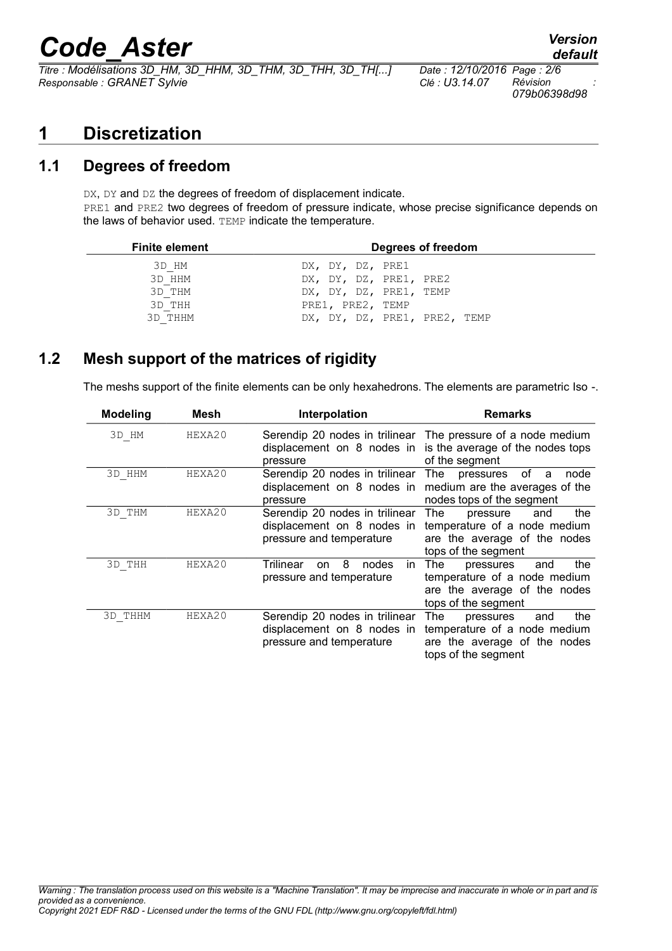# *Code\_Aster Version*

*Titre : Modélisations 3D\_HM, 3D\_HHM, 3D\_THM, 3D\_THH, 3D\_TH[...] Date : 12/10/2016 Page : 2/6 Responsable : GRANET Sylvie Clé : U3.14.07 Révision :*

*079b06398d98*

### **1 Discretization**

#### **1.1 Degrees of freedom**

DX, DY and DZ the degrees of freedom of displacement indicate. PRE1 and PRE2 two degrees of freedom of pressure indicate, whose precise significance depends on the laws of behavior used. TEMP indicate the temperature.

| Degrees of freedom           |
|------------------------------|
| DX, DY, DZ, PRE1             |
| DX, DY, DZ, PRE1, PRE2       |
| DX, DY, DZ, PRE1, TEMP       |
| PRE1, PRE2, TEMP             |
| DX, DY, DZ, PRE1, PRE2, TEMP |
|                              |

#### **1.2 Mesh support of the matrices of rigidity**

The meshs support of the finite elements can be only hexahedrons. The elements are parametric Iso -.

| <b>Modeling</b> | Mesh   | Interpolation                                                                            | <b>Remarks</b>                                                                                                          |
|-----------------|--------|------------------------------------------------------------------------------------------|-------------------------------------------------------------------------------------------------------------------------|
| 3D HM           | HEXA20 | displacement on 8 nodes in<br>pressure                                                   | Serendip 20 nodes in trilinear The pressure of a node medium<br>is the average of the nodes tops<br>of the segment      |
| 3D HHM          | HEXA20 | Serendip 20 nodes in trilinear<br>displacement on 8 nodes in<br>pressure                 | The<br>pressures of<br>node<br>a<br>medium are the averages of the<br>nodes tops of the segment                         |
| 3D THM          | HEXA20 | Serendip 20 nodes in trilinear<br>displacement on 8 nodes in<br>pressure and temperature | The<br>the<br>pressure<br>and<br>temperature of a node medium<br>are the average of the nodes<br>tops of the segment    |
| 3D THH          | HEXA20 | Trilinear<br>8<br>nodes<br>in.<br><sub>on</sub><br>pressure and temperature              | the<br>The<br>pressures<br>and<br>temperature of a node medium<br>are the average of the nodes<br>tops of the segment   |
| 3D THHM         | HEXA20 | Serendip 20 nodes in trilinear<br>displacement on 8 nodes in<br>pressure and temperature | the<br>The l<br>pressures<br>and<br>temperature of a node medium<br>are the average of the nodes<br>tops of the segment |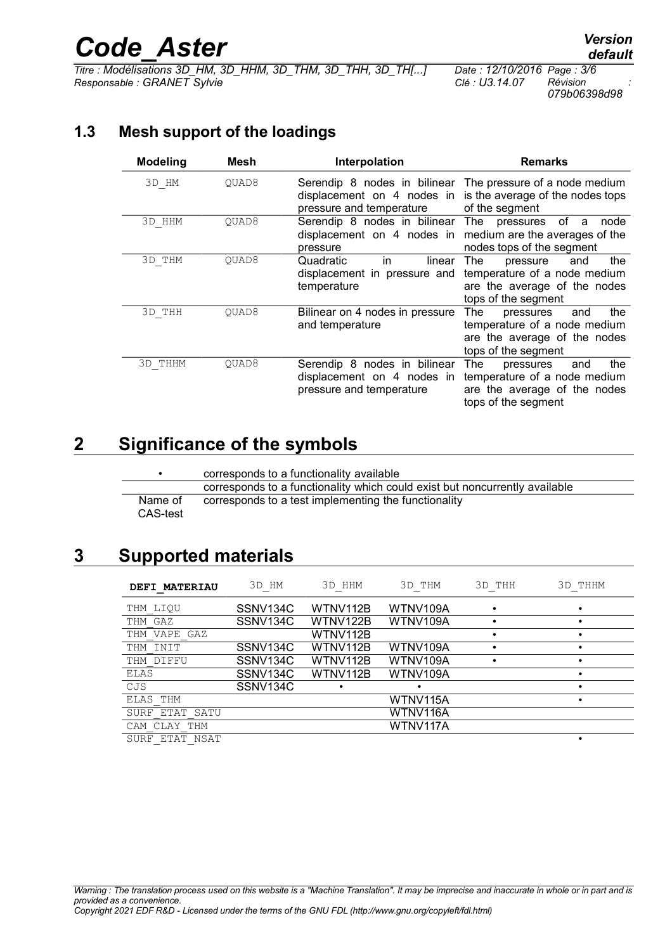# *Code\_Aster Version*

*Titre : Modélisations 3D\_HM, 3D\_HHM, 3D\_THM, 3D\_THH, 3D\_TH[...] Date : 12/10/2016 Page : 3/6 Responsable : GRANET Sylvie Clé : U3.14.07 Révision :*

*079b06398d98*

#### **1.3 Mesh support of the loadings**

| <b>Modeling</b> | Mesh  | Interpolation                                                                          | <b>Remarks</b>                                                                                                        |
|-----------------|-------|----------------------------------------------------------------------------------------|-----------------------------------------------------------------------------------------------------------------------|
| 3D HM           | OUAD8 | displacement on 4 nodes in<br>pressure and temperature                                 | Serendip 8 nodes in bilinear The pressure of a node medium<br>is the average of the nodes tops<br>of the segment      |
| 3D HHM          | OUAD8 | Serendip 8 nodes in bilinear<br>displacement on 4 nodes in<br>pressure                 | The pressures of<br>a<br>node<br>medium are the averages of the<br>nodes tops of the segment                          |
| 3D THM          | OUAD8 | Quadratic<br>linear<br>in.<br>displacement in pressure and<br>temperature              | the<br>The<br>and<br>pressure<br>temperature of a node medium<br>are the average of the nodes<br>tops of the segment  |
| 3D THH          | OUAD8 | Bilinear on 4 nodes in pressure<br>and temperature                                     | The<br>the<br>pressures<br>and<br>temperature of a node medium<br>are the average of the nodes<br>tops of the segment |
| 3D THHM         | OUAD8 | Serendip 8 nodes in bilinear<br>displacement on 4 nodes in<br>pressure and temperature | the<br>The<br>and<br>pressures<br>temperature of a node medium<br>are the average of the nodes<br>tops of the segment |

## **2 Significance of the symbols**

|                     | corresponds to a functionality available                                    |
|---------------------|-----------------------------------------------------------------------------|
|                     | corresponds to a functionality which could exist but noncurrently available |
| Name of<br>CAS-test | corresponds to a test implementing the functionality                        |

### **3 Supported materials**

| <b>DEFI MATERIAU</b> | 3D HM                | 3D HHM   | 3D THM   | 3D THH | 3D THHM |
|----------------------|----------------------|----------|----------|--------|---------|
| THM LIOU             | SSNV134C             | WTNV112B | WTNV109A |        |         |
| THM GAZ              | SSNV134C             | WTNV122B | WTNV109A |        |         |
| THM VAPE GAZ         |                      | WTNV112B |          |        |         |
| THM INIT             | SSNV134C             | WTNV112B | WTNV109A |        |         |
| THM DIFFU            | SSNV134C             | WTNV112B | WTNV109A |        |         |
| ELAS                 | SSNV <sub>134C</sub> | WTNV112B | WTNV109A |        |         |
| CJS                  | SSNV134C             |          |          |        |         |
| ELAS THM             |                      |          | WTNV115A |        |         |
| ETAT SATU<br>SURF    |                      |          | WTNV116A |        |         |
| CAM CLAY THM         |                      |          | WTNV117A |        |         |
| חולמו חולחת תחזומ    |                      |          |          |        |         |

SURF\_ETAT\_NSAT •

*default*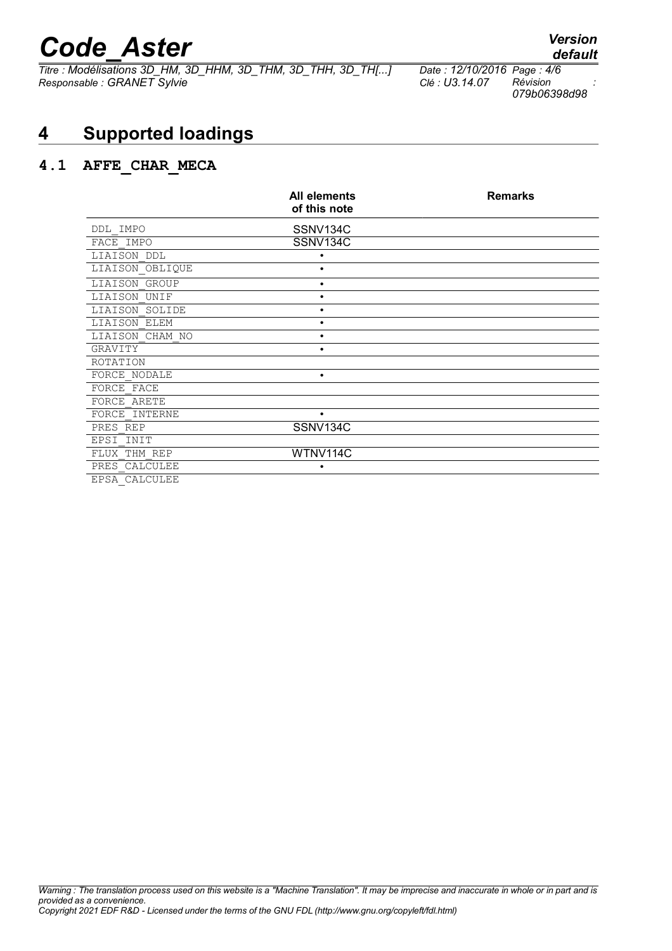# *Code\_Aster Version*<br>*Titre : Modélisations 3D HM, 3D HHM, 3D THM, 3D THH, 3D TH[...] Date : 12/10/2016 Page : 4/6*

*Titre : Modélisations 3D\_HM, 3D\_HHM, 3D\_THM, 3D\_THH, 3D\_TH[...] Date : 12/10/2016 Page : 4/6 Responsable : GRANET Sylvie Clé : U3.14.07 Révision :*

*079b06398d98*

## **4 Supported loadings**

#### **4.1 AFFE\_CHAR\_MECA**

|                  | <b>All elements</b><br>of this note | <b>Remarks</b> |
|------------------|-------------------------------------|----------------|
| DDL IMPO         | SSNV134C                            |                |
| FACE IMPO        | SSNV134C                            |                |
| LIAISON DDL      | ٠                                   |                |
| LIAISON OBLIQUE  | ٠                                   |                |
| LIAISON GROUP    | ٠                                   |                |
| LIAISON UNIF     | ٠                                   |                |
| LIAISON SOLIDE   | ٠                                   |                |
| LIAISON ELEM     | ٠                                   |                |
| LIAISON CHAM NO  | ٠                                   |                |
| GRAVITY          | $\bullet$                           |                |
| ROTATION         |                                     |                |
| FORCE NODALE     | ٠                                   |                |
| FORCE FACE       |                                     |                |
| FORCE ARETE      |                                     |                |
| FORCE INTERNE    | $\bullet$                           |                |
| PRES REP         | SSNV134C                            |                |
| INIT<br>EPSI     |                                     |                |
| FLUX THM REP     | WTNV114C                            |                |
| CALCULEE<br>PRES | ٠                                   |                |
| EPSA CALCULEE    |                                     |                |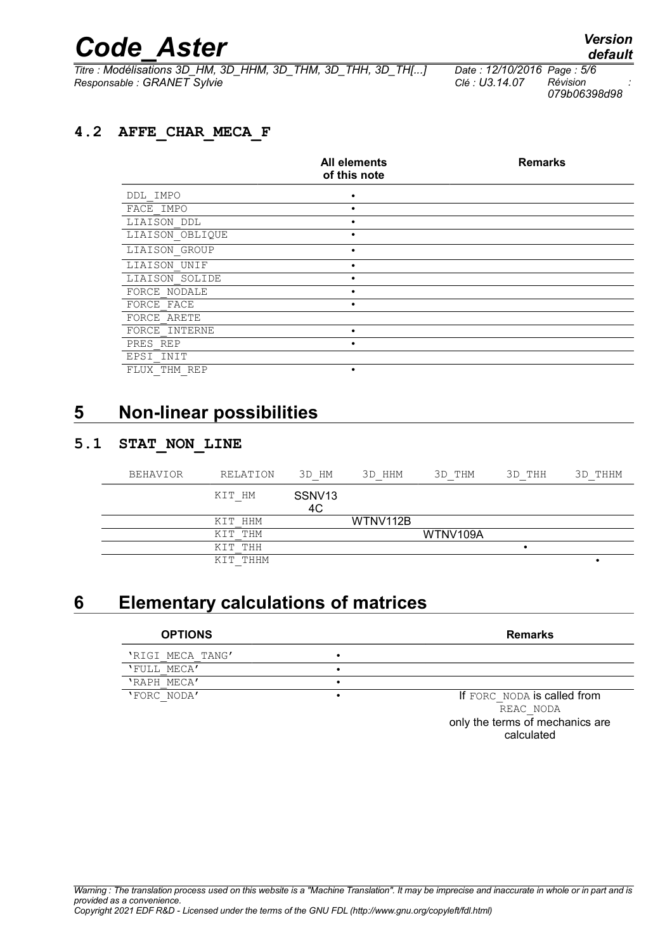# *Code\_Aster Version*

*Titre : Modélisations 3D\_HM, 3D\_HHM, 3D\_THM, 3D\_THH, 3D\_TH[...] Date : 12/10/2016 Page : 5/6 Responsable : GRANET Sylvie Clé : U3.14.07 Révision :*

*079b06398d98*

#### **4.2 AFFE\_CHAR\_MECA\_F**

|                 | All elements<br>of this note | <b>Remarks</b> |
|-----------------|------------------------------|----------------|
| DDL IMPO        | $\bullet$                    |                |
| FACE IMPO       |                              |                |
| LIAISON DDL     |                              |                |
| LIAISON OBLIQUE | ٠                            |                |
| LIAISON GROUP   | $\bullet$                    |                |
| LIAISON UNIF    | ٠                            |                |
| LIAISON SOLIDE  | ٠                            |                |
| FORCE NODALE    | $\bullet$                    |                |
| FORCE FACE      | $\bullet$                    |                |
| FORCE ARETE     |                              |                |
| FORCE INTERNE   | ٠                            |                |
| PRES REP        | $\bullet$                    |                |
| EPSI INIT       |                              |                |
| FLUX THM REP    | ٠                            |                |

### **5 Non-linear possibilities**

#### **5.1 STAT\_NON\_LINE**

| <b>BEHAVIOR</b> | RELATION    | 3D HM                    | 3D HHM   | 3D THM   | 3D THH | 3D THHM |
|-----------------|-------------|--------------------------|----------|----------|--------|---------|
|                 | KIT HM      | SSNV <sub>13</sub><br>4C |          |          |        |         |
|                 | KIT HHM     |                          | WTNV112B |          |        |         |
|                 | KIT THM     |                          |          | WTNV109A |        |         |
|                 | KIT THH     |                          |          |          | ٠      |         |
|                 | THHM<br>KTT |                          |          |          |        | ٠       |

### **6 Elementary calculations of matrices**

| <b>OPTIONS</b>   | <b>Remarks</b>                  |
|------------------|---------------------------------|
| 'RIGI MECA TANG' |                                 |
| 'FULL MECA'      |                                 |
| 'RAPH MECA'      |                                 |
| 'FORC NODA'      | If FORC NODA is called from     |
|                  | REAC NODA                       |
|                  | only the terms of mechanics are |

calculated